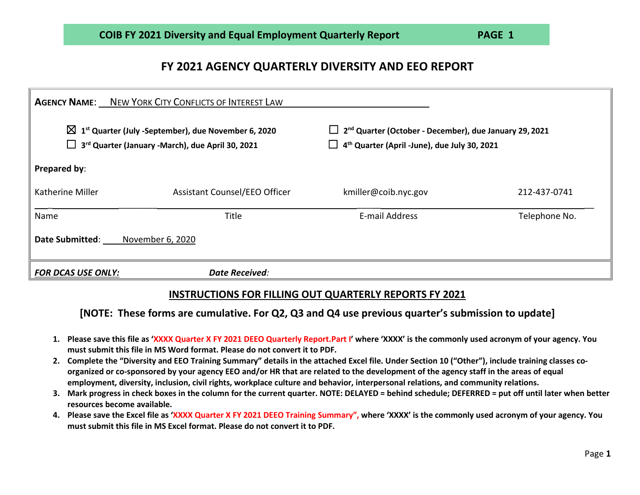# **FY 2021 AGENCY QUARTERLY DIVERSITY AND EEO REPORT**

|                                                                                                                                           | <b>AGENCY NAME:</b> NEW YORK CITY CONFLICTS OF INTEREST LAW |                                                                                                                                              |               |  |
|-------------------------------------------------------------------------------------------------------------------------------------------|-------------------------------------------------------------|----------------------------------------------------------------------------------------------------------------------------------------------|---------------|--|
| $\boxtimes$ 1 <sup>st</sup> Quarter (July -September), due November 6, 2020<br>$\Box$<br>3rd Quarter (January -March), due April 30, 2021 |                                                             | $\Box$ 2 <sup>nd</sup> Quarter (October - December), due January 29, 2021<br>$\Box$ 4 <sup>th</sup> Quarter (April -June), due July 30, 2021 |               |  |
| <b>Prepared by:</b>                                                                                                                       |                                                             |                                                                                                                                              |               |  |
| Katherine Miller                                                                                                                          | Assistant Counsel/EEO Officer                               | kmiller@coib.nyc.gov                                                                                                                         | 212-437-0741  |  |
| Name                                                                                                                                      | Title                                                       | E-mail Address                                                                                                                               | Telephone No. |  |
| <b>Date Submitted:</b>                                                                                                                    | November 6, 2020                                            |                                                                                                                                              |               |  |
| <b>FOR DCAS USE ONLY:</b>                                                                                                                 | Date Received:                                              |                                                                                                                                              |               |  |

#### **INSTRUCTIONS FOR FILLING OUT QUARTERLY REPORTS FY 2021**

### **[NOTE: These forms are cumulative. For Q2, Q3 and Q4 use previous quarter's submission to update]**

- **1. Please save this file as 'XXXX Quarter X FY 2021 DEEO Quarterly Report.Part I' where 'XXXX' is the commonly used acronym of your agency. You must submit this file in MS Word format. Please do not convert it to PDF.**
- **2. Complete the "Diversity and EEO Training Summary" details in the attached Excel file. Under Section 10 ("Other"), include training classes coorganized or co-sponsored by your agency EEO and/or HR that are related to the development of the agency staff in the areas of equal employment, diversity, inclusion, civil rights, workplace culture and behavior, interpersonal relations, and community relations.**
- **3. Mark progress in check boxes in the column for the current quarter. NOTE: DELAYED = behind schedule; DEFERRED = put off until later when better resources become available.**
- **4. Please save the Excel file as 'XXXX Quarter X FY 2021 DEEO Training Summary", where 'XXXX' is the commonly used acronym of your agency. You must submit this file in MS Excel format. Please do not convert it to PDF.**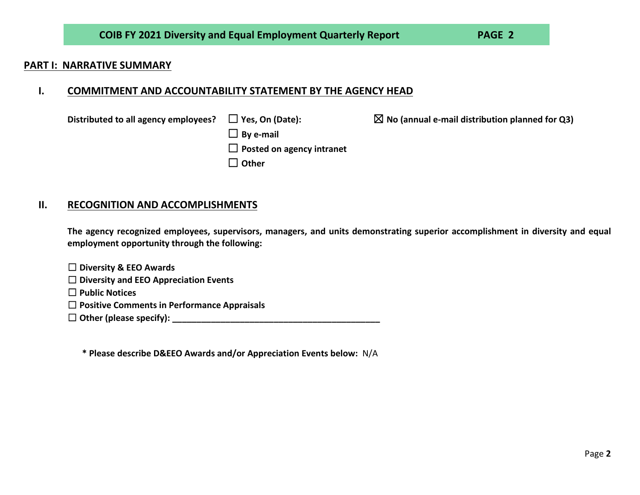#### **PART I: NARRATIVE SUMMARY**

#### **I. COMMITMENT AND ACCOUNTABILITY STATEMENT BY THE AGENCY HEAD**

| Distributed to all agency employees? $\Box$ Yes, On (Date): |                                  | $\boxtimes$ No (annual e-mail distribution planned for Q3) |
|-------------------------------------------------------------|----------------------------------|------------------------------------------------------------|
|                                                             | $\Box$ By e-mail                 |                                                            |
|                                                             | $\Box$ Posted on agency intranet |                                                            |
|                                                             | $\Box$ Other                     |                                                            |

#### **II. RECOGNITION AND ACCOMPLISHMENTS**

**The agency recognized employees, supervisors, managers, and units demonstrating superior accomplishment in diversity and equal employment opportunity through the following:**

☐ **Diversity & EEO Awards**

☐ **Diversity and EEO Appreciation Events**

☐ **Public Notices**

☐ **Positive Comments in Performance Appraisals**

☐ **Other (please specify): \_\_\_\_\_\_\_\_\_\_\_\_\_\_\_\_\_\_\_\_\_\_\_\_\_\_\_\_\_\_\_\_\_\_\_\_\_\_\_\_\_\_\_**

**\* Please describe D&EEO Awards and/or Appreciation Events below:** N/A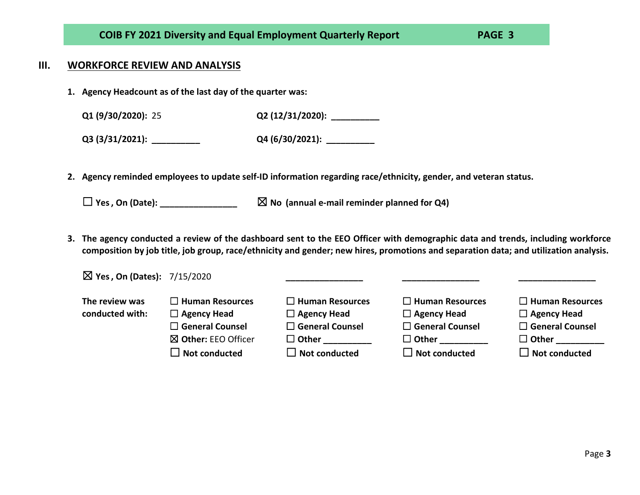#### **III. WORKFORCE REVIEW AND ANALYSIS**

**1. Agency Headcount as of the last day of the quarter was:**

**Q1 (9/30/2020):** 25 **Q2 (12/31/2020): \_\_\_\_\_\_\_\_\_\_**

**Q3 (3/31/2021): \_\_\_\_\_\_\_\_\_\_ Q4 (6/30/2021): \_\_\_\_\_\_\_\_\_\_**

**2. Agency reminded employees to update self-ID information regarding race/ethnicity, gender, and veteran status.**

☐ **Yes, On (Date): \_\_\_\_\_\_\_\_\_\_\_\_\_\_\_\_** ☒ **No (annual e-mail reminder planned for Q4)**

**3. The agency conducted a review of the dashboard sent to the EEO Officer with demographic data and trends, including workforce composition by job title, job group, race/ethnicity and gender; new hires, promotions and separation data; and utilization analysis.**

| $\boxtimes$ Yes, On (Dates): 7/15/2020 |                                                                        |                                                                        |                                                                        |                                                                        |
|----------------------------------------|------------------------------------------------------------------------|------------------------------------------------------------------------|------------------------------------------------------------------------|------------------------------------------------------------------------|
| The review was<br>conducted with:      | $\Box$ Human Resources<br>$\Box$ Agency Head<br>$\Box$ General Counsel | $\Box$ Human Resources<br>$\Box$ Agency Head<br>$\Box$ General Counsel | $\Box$ Human Resources<br>$\Box$ Agency Head<br>$\Box$ General Counsel | $\Box$ Human Resources<br>$\Box$ Agency Head<br>$\Box$ General Counsel |
|                                        | ⊠ Other: EEO Officer<br>$\Box$ Not conducted                           | $\square$ Other<br>$\Box$ Not conducted                                | $\square$ Other<br>$\Box$ Not conducted                                | $\Box$ Other<br>$\Box$ Not conducted                                   |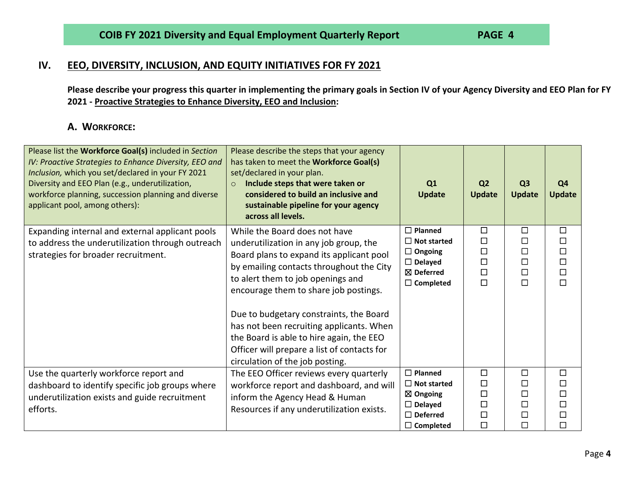## **IV. EEO, DIVERSITY, INCLUSION, AND EQUITY INITIATIVES FOR FY 2021**

**Please describe your progress this quarter in implementing the primary goals in Section IV of your Agency Diversity and EEO Plan for FY 2021 - Proactive Strategies to Enhance Diversity, EEO and Inclusion:**

# **A. WORKFORCE:**

| Please list the Workforce Goal(s) included in Section<br>IV: Proactive Strategies to Enhance Diversity, EEO and<br>Inclusion, which you set/declared in your FY 2021<br>Diversity and EEO Plan (e.g., underutilization,<br>workforce planning, succession planning and diverse<br>applicant pool, among others): | Please describe the steps that your agency<br>has taken to meet the Workforce Goal(s)<br>set/declared in your plan.<br>Include steps that were taken or<br>$\circ$<br>considered to build an inclusive and<br>sustainable pipeline for your agency<br>across all levels.                                                                                                                                                                                           | Q1<br><b>Update</b>                                                                                                  | Q <sub>2</sub><br><b>Update</b>                | Q <sub>3</sub><br><b>Update</b>                     | Q <sub>4</sub><br><b>Update</b>                     |
|------------------------------------------------------------------------------------------------------------------------------------------------------------------------------------------------------------------------------------------------------------------------------------------------------------------|--------------------------------------------------------------------------------------------------------------------------------------------------------------------------------------------------------------------------------------------------------------------------------------------------------------------------------------------------------------------------------------------------------------------------------------------------------------------|----------------------------------------------------------------------------------------------------------------------|------------------------------------------------|-----------------------------------------------------|-----------------------------------------------------|
| Expanding internal and external applicant pools<br>to address the underutilization through outreach<br>strategies for broader recruitment.                                                                                                                                                                       | While the Board does not have<br>underutilization in any job group, the<br>Board plans to expand its applicant pool<br>by emailing contacts throughout the City<br>to alert them to job openings and<br>encourage them to share job postings.<br>Due to budgetary constraints, the Board<br>has not been recruiting applicants. When<br>the Board is able to hire again, the EEO<br>Officer will prepare a list of contacts for<br>circulation of the job posting. | $\Box$ Planned<br>$\Box$ Not started<br>$\Box$ Ongoing<br>$\Box$ Delayed<br>$\boxtimes$ Deferred<br>$\Box$ Completed | □<br>$\Box$<br>$\Box$<br>$\Box$<br>П<br>$\Box$ | $\Box$<br>□<br>$\Box$<br>$\Box$<br>$\Box$<br>$\Box$ | □<br>□<br>$\Box$<br>$\Box$<br>$\Box$<br>$\Box$      |
| Use the quarterly workforce report and<br>dashboard to identify specific job groups where<br>underutilization exists and guide recruitment<br>efforts.                                                                                                                                                           | The EEO Officer reviews every quarterly<br>workforce report and dashboard, and will<br>inform the Agency Head & Human<br>Resources if any underutilization exists.                                                                                                                                                                                                                                                                                                 | $\Box$ Planned<br>$\Box$ Not started<br>$\boxtimes$ Ongoing<br>$\Box$ Delayed<br>$\Box$ Deferred<br>$\Box$ Completed | □<br>□<br>$\Box$<br>□<br>$\Box$<br>$\Box$      | $\Box$<br>□<br>$\Box$<br>$\Box$<br>$\Box$<br>$\Box$ | □<br>$\Box$<br>$\Box$<br>$\Box$<br>$\Box$<br>$\Box$ |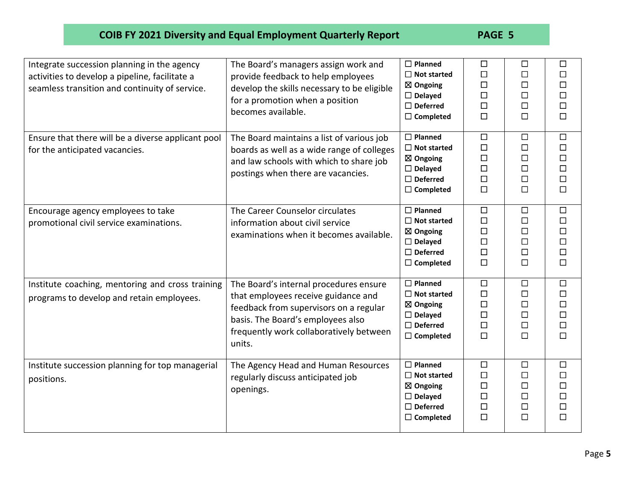# **COIB FY 2021 Diversity and Equal Employment Quarterly Report PAGE 5**

| Integrate succession planning in the agency<br>activities to develop a pipeline, facilitate a<br>seamless transition and continuity of service. | The Board's managers assign work and<br>provide feedback to help employees<br>develop the skills necessary to be eligible<br>for a promotion when a position<br>becomes available.                                | $\Box$ Planned<br>$\Box$ Not started<br>$\boxtimes$ Ongoing<br>$\Box$ Delayed<br>$\square$ Deferred<br>$\Box$ Completed | $\Box$<br>$\Box$<br>$\Box$<br>$\Box$<br>$\Box$<br>$\Box$ | $\Box$<br>$\Box$<br>$\Box$<br>$\Box$<br>$\Box$<br>$\Box$ | $\Box$<br>$\Box$<br>$\Box$<br>$\Box$<br>$\Box$<br>$\Box$ |
|-------------------------------------------------------------------------------------------------------------------------------------------------|-------------------------------------------------------------------------------------------------------------------------------------------------------------------------------------------------------------------|-------------------------------------------------------------------------------------------------------------------------|----------------------------------------------------------|----------------------------------------------------------|----------------------------------------------------------|
| Ensure that there will be a diverse applicant pool<br>for the anticipated vacancies.                                                            | The Board maintains a list of various job<br>boards as well as a wide range of colleges<br>and law schools with which to share job<br>postings when there are vacancies.                                          | $\Box$ Planned<br>$\Box$ Not started<br>$\boxtimes$ Ongoing<br>$\Box$ Delayed<br>$\Box$ Deferred<br>$\Box$ Completed    | $\Box$<br>$\Box$<br>$\Box$<br>$\Box$<br>$\Box$<br>$\Box$ | $\Box$<br>$\Box$<br>$\Box$<br>$\Box$<br>$\Box$<br>$\Box$ | $\Box$<br>$\Box$<br>$\Box$<br>$\Box$<br>$\Box$<br>$\Box$ |
| Encourage agency employees to take<br>promotional civil service examinations.                                                                   | The Career Counselor circulates<br>information about civil service<br>examinations when it becomes available.                                                                                                     | $\Box$ Planned<br>$\Box$ Not started<br>$\boxtimes$ Ongoing<br>$\Box$ Delayed<br>$\Box$ Deferred<br>$\Box$ Completed    | $\Box$<br>$\Box$<br>$\Box$<br>$\Box$<br>$\Box$<br>$\Box$ | $\Box$<br>$\Box$<br>$\Box$<br>$\Box$<br>$\Box$<br>$\Box$ | $\Box$<br>$\Box$<br>$\Box$<br>$\Box$<br>$\Box$<br>$\Box$ |
| Institute coaching, mentoring and cross training<br>programs to develop and retain employees.                                                   | The Board's internal procedures ensure<br>that employees receive guidance and<br>feedback from supervisors on a regular<br>basis. The Board's employees also<br>frequently work collaboratively between<br>units. | $\Box$ Planned<br>$\Box$ Not started<br>$\boxtimes$ Ongoing<br>$\Box$ Delayed<br>$\Box$ Deferred<br>$\Box$ Completed    | $\Box$<br>$\Box$<br>$\Box$<br>$\Box$<br>$\Box$<br>$\Box$ | □<br>$\Box$<br>$\Box$<br>$\Box$<br>$\Box$<br>$\Box$      | $\Box$<br>$\Box$<br>$\Box$<br>$\Box$<br>$\Box$<br>$\Box$ |
| Institute succession planning for top managerial<br>positions.                                                                                  | The Agency Head and Human Resources<br>regularly discuss anticipated job<br>openings.                                                                                                                             | $\Box$ Planned<br>$\Box$ Not started<br>$\boxtimes$ Ongoing<br>$\Box$ Delayed<br>$\Box$ Deferred<br>$\Box$ Completed    | $\Box$<br>$\Box$<br>$\Box$<br>$\Box$<br>$\Box$<br>$\Box$ | $\Box$<br>$\Box$<br>$\Box$<br>$\Box$<br>$\Box$<br>$\Box$ | $\Box$<br>$\Box$<br>$\Box$<br>$\Box$<br>$\Box$<br>$\Box$ |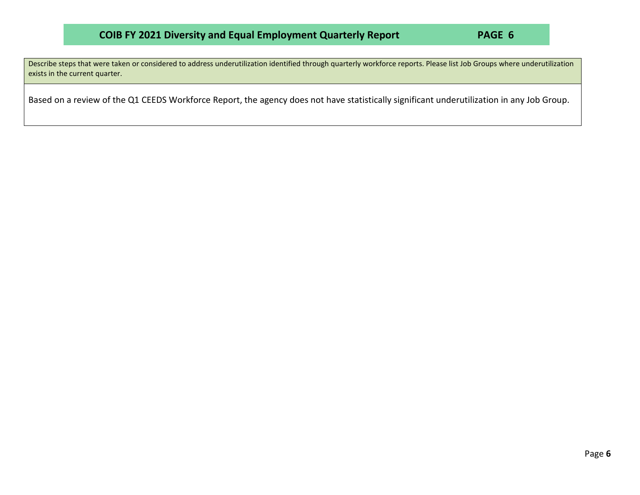Describe steps that were taken or considered to address underutilization identified through quarterly workforce reports. Please list Job Groups where underutilization exists in the current quarter.

Based on a review of the Q1 CEEDS Workforce Report, the agency does not have statistically significant underutilization in any Job Group.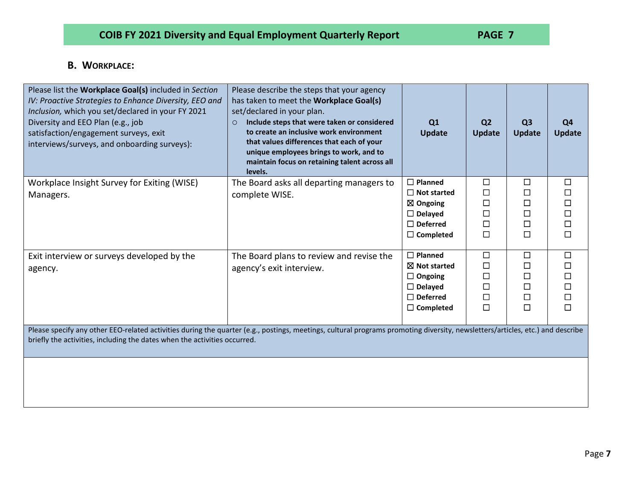# **B. WORKPLACE:**

| Please list the Workplace Goal(s) included in Section<br>IV: Proactive Strategies to Enhance Diversity, EEO and<br>Inclusion, which you set/declared in your FY 2021<br>Diversity and EEO Plan (e.g., job<br>satisfaction/engagement surveys, exit<br>interviews/surveys, and onboarding surveys): | Please describe the steps that your agency<br>has taken to meet the Workplace Goal(s)<br>set/declared in your plan.<br>Include steps that were taken or considered<br>$\circ$<br>to create an inclusive work environment<br>that values differences that each of your<br>unique employees brings to work, and to<br>maintain focus on retaining talent across all<br>levels. | Q1<br><b>Update</b>                                                                                                     | Q <sub>2</sub><br><b>Update</b>                | Q <sub>3</sub><br><b>Update</b>                     | Q <sub>4</sub><br><b>Update</b>                                                       |
|----------------------------------------------------------------------------------------------------------------------------------------------------------------------------------------------------------------------------------------------------------------------------------------------------|------------------------------------------------------------------------------------------------------------------------------------------------------------------------------------------------------------------------------------------------------------------------------------------------------------------------------------------------------------------------------|-------------------------------------------------------------------------------------------------------------------------|------------------------------------------------|-----------------------------------------------------|---------------------------------------------------------------------------------------|
| Workplace Insight Survey for Exiting (WISE)<br>Managers.                                                                                                                                                                                                                                           | The Board asks all departing managers to<br>complete WISE.                                                                                                                                                                                                                                                                                                                   | $\Box$ Planned<br>$\Box$ Not started<br>$\boxtimes$ Ongoing<br>$\Box$ Delayed<br>$\square$ Deferred<br>$\Box$ Completed | □<br>$\Box$<br>$\Box$<br>$\Box$<br>$\Box$<br>□ | $\Box$<br>$\Box$<br>$\Box$<br>$\Box$<br>□<br>$\Box$ | $\Box$<br>$\Box$<br>$\Box$<br>$\begin{array}{c}\n\Box \\ \Box\n\end{array}$<br>$\Box$ |
| Exit interview or surveys developed by the<br>agency.                                                                                                                                                                                                                                              | The Board plans to review and revise the<br>agency's exit interview.                                                                                                                                                                                                                                                                                                         | $\Box$ Planned<br>$\boxtimes$ Not started<br>$\Box$ Ongoing<br>$\Box$ Delayed<br>$\Box$ Deferred<br>$\Box$ Completed    | $\Box$<br>$\Box$<br>$\Box$<br>П<br>П<br>□      | $\Box$<br>□<br>$\Box$<br>$\Box$<br>□<br>□           | $\Box$<br>$\Box$<br>$\Box$<br>$\Box$<br>$\Box$<br>□                                   |
| Please specify any other EEO-related activities during the quarter (e.g., postings, meetings, cultural programs promoting diversity, newsletters/articles, etc.) and describe<br>briefly the activities, including the dates when the activities occurred.                                         |                                                                                                                                                                                                                                                                                                                                                                              |                                                                                                                         |                                                |                                                     |                                                                                       |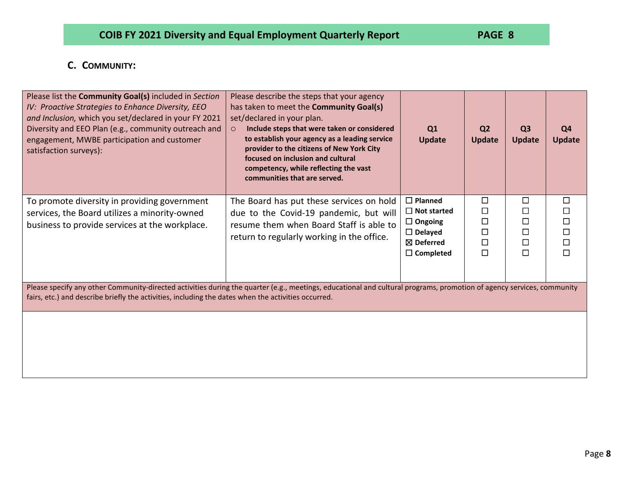# **C. COMMUNITY:**

| Please list the Community Goal(s) included in Section<br>IV: Proactive Strategies to Enhance Diversity, EEO<br>and Inclusion, which you set/declared in your FY 2021<br>Diversity and EEO Plan (e.g., community outreach and<br>engagement, MWBE participation and customer<br>satisfaction surveys): | Please describe the steps that your agency<br>has taken to meet the Community Goal(s)<br>set/declared in your plan.<br>Include steps that were taken or considered<br>$\circ$<br>to establish your agency as a leading service<br>provider to the citizens of New York City<br>focused on inclusion and cultural<br>competency, while reflecting the vast<br>communities that are served. | Q1<br><b>Update</b>                                                                                               | Q <sub>2</sub><br><b>Update</b>      | Q <sub>3</sub><br><b>Update</b>           | Q4<br><b>Update</b>   |
|-------------------------------------------------------------------------------------------------------------------------------------------------------------------------------------------------------------------------------------------------------------------------------------------------------|-------------------------------------------------------------------------------------------------------------------------------------------------------------------------------------------------------------------------------------------------------------------------------------------------------------------------------------------------------------------------------------------|-------------------------------------------------------------------------------------------------------------------|--------------------------------------|-------------------------------------------|-----------------------|
| To promote diversity in providing government<br>services, the Board utilizes a minority-owned<br>business to provide services at the workplace.                                                                                                                                                       | The Board has put these services on hold<br>due to the Covid-19 pandemic, but will<br>resume them when Board Staff is able to<br>return to regularly working in the office.                                                                                                                                                                                                               | $\Box$ Planned<br>$\Box$ Not started<br>$\Box$ Ongoing<br>$\Box$ Delayed<br><b>⊠</b> Deferred<br>$\Box$ Completed | $\Box$<br>П<br>□<br>◻<br>П<br>$\Box$ | $\Box$<br>П<br>□<br>$\Box$<br>□<br>$\Box$ | $\Box$<br>□<br>$\Box$ |
| Please specify any other Community-directed activities during the quarter (e.g., meetings, educational and cultural programs, promotion of agency services, community<br>fairs, etc.) and describe briefly the activities, including the dates when the activities occurred.                          |                                                                                                                                                                                                                                                                                                                                                                                           |                                                                                                                   |                                      |                                           |                       |
|                                                                                                                                                                                                                                                                                                       |                                                                                                                                                                                                                                                                                                                                                                                           |                                                                                                                   |                                      |                                           |                       |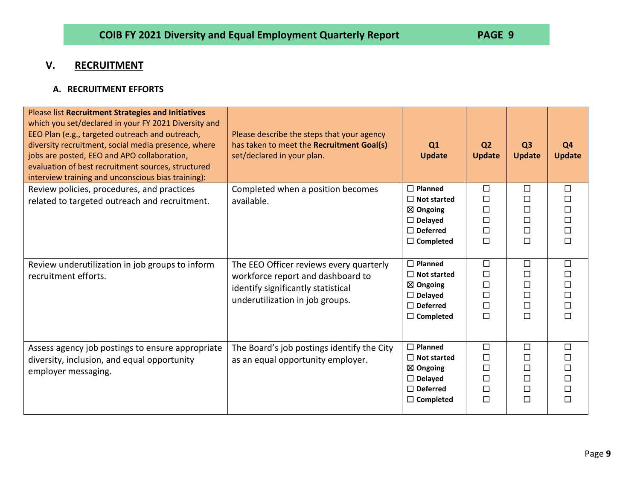# **V. RECRUITMENT**

#### **A. RECRUITMENT EFFORTS**

| <b>Please list Recruitment Strategies and Initiatives</b><br>which you set/declared in your FY 2021 Diversity and<br>EEO Plan (e.g., targeted outreach and outreach,<br>diversity recruitment, social media presence, where<br>jobs are posted, EEO and APO collaboration,<br>evaluation of best recruitment sources, structured<br>interview training and unconscious bias training): | Please describe the steps that your agency<br>has taken to meet the Recruitment Goal(s)<br>set/declared in your plan.                                 | Q1<br><b>Update</b>                                                                                                  | Q <sub>2</sub><br><b>Update</b>                     | Q <sub>3</sub><br><b>Update</b>                | Q <sub>4</sub><br><b>Update</b>                                   |
|----------------------------------------------------------------------------------------------------------------------------------------------------------------------------------------------------------------------------------------------------------------------------------------------------------------------------------------------------------------------------------------|-------------------------------------------------------------------------------------------------------------------------------------------------------|----------------------------------------------------------------------------------------------------------------------|-----------------------------------------------------|------------------------------------------------|-------------------------------------------------------------------|
| Review policies, procedures, and practices<br>related to targeted outreach and recruitment.                                                                                                                                                                                                                                                                                            | Completed when a position becomes<br>available.                                                                                                       | $\Box$ Planned<br>$\Box$ Not started<br>$\boxtimes$ Ongoing<br>$\Box$ Delayed<br>$\Box$ Deferred<br>$\Box$ Completed | □<br>□<br>□<br>$\Box$<br>□<br>$\Box$                | $\Box$<br>□<br>$\Box$<br>$\Box$<br>$\Box$<br>□ | $\Box$<br>$\Box$<br>$\Box$<br>$\hfill\square$<br>$\Box$<br>$\Box$ |
| Review underutilization in job groups to inform<br>recruitment efforts.                                                                                                                                                                                                                                                                                                                | The EEO Officer reviews every quarterly<br>workforce report and dashboard to<br>identify significantly statistical<br>underutilization in job groups. | $\Box$ Planned<br>$\Box$ Not started<br>$\boxtimes$ Ongoing<br>$\Box$ Delayed<br>$\Box$ Deferred<br>$\Box$ Completed | $\Box$<br>$\Box$<br>$\Box$<br>□<br>$\Box$<br>$\Box$ | $\Box$<br>$\Box$<br>□<br>$\Box$<br>$\Box$<br>□ | $\Box$<br>$\Box$<br>$\Box$<br>$\Box$<br>$\Box$<br>$\Box$          |
| Assess agency job postings to ensure appropriate<br>diversity, inclusion, and equal opportunity<br>employer messaging.                                                                                                                                                                                                                                                                 | The Board's job postings identify the City<br>as an equal opportunity employer.                                                                       | $\Box$ Planned<br>$\Box$ Not started<br>$\boxtimes$ Ongoing<br>$\Box$ Delayed<br>$\Box$ Deferred<br>$\Box$ Completed | $\Box$<br>$\Box$<br>□<br>$\Box$<br>□<br>$\Box$      | $\Box$<br>□<br>□<br>□<br>□<br>$\Box$           | $\Box$<br>$\Box$<br>$\Box$<br>$\Box$<br>$\Box$<br>$\Box$          |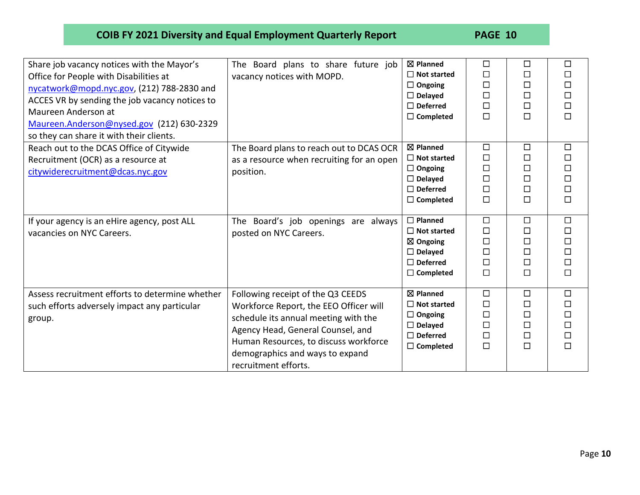# **COIB FY 2021 Diversity and Equal Employment Quarterly Report PAGE 10**

| Share job vacancy notices with the Mayor's<br>Office for People with Disabilities at<br>nycatwork@mopd.nyc.gov, (212) 788-2830 and<br>ACCES VR by sending the job vacancy notices to<br>Maureen Anderson at<br>Maureen.Anderson@nysed.gov (212) 630-2329<br>so they can share it with their clients. | The Board plans to share future job<br>vacancy notices with MOPD.                                                                                                                                                                                            | $\boxtimes$ Planned<br>$\Box$ Not started<br>$\Box$ Ongoing<br>$\Box$ Delayed<br>$\Box$ Deferred<br>$\Box$ Completed | □<br>□<br>□<br>□<br>п<br>□           | □<br>$\Box$<br>□<br>$\Box$<br>$\Box$<br>$\Box$ | $\Box$<br>$\Box$<br>$\Box$<br>$\Box$<br>$\Box$<br>$\Box$ |
|------------------------------------------------------------------------------------------------------------------------------------------------------------------------------------------------------------------------------------------------------------------------------------------------------|--------------------------------------------------------------------------------------------------------------------------------------------------------------------------------------------------------------------------------------------------------------|----------------------------------------------------------------------------------------------------------------------|--------------------------------------|------------------------------------------------|----------------------------------------------------------|
| Reach out to the DCAS Office of Citywide<br>Recruitment (OCR) as a resource at<br>citywiderecruitment@dcas.nyc.gov                                                                                                                                                                                   | The Board plans to reach out to DCAS OCR<br>as a resource when recruiting for an open<br>position.                                                                                                                                                           | $\boxtimes$ Planned<br>$\Box$ Not started<br>$\Box$ Ongoing<br>$\Box$ Delayed<br>$\Box$ Deferred<br>$\Box$ Completed | □<br>$\Box$<br>□<br>□<br>□<br>$\Box$ | $\Box$<br>$\Box$<br>$\Box$<br>□<br>□<br>$\Box$ | $\Box$<br>$\Box$<br>$\Box$<br>$\Box$<br>□<br>$\Box$      |
| If your agency is an eHire agency, post ALL<br>vacancies on NYC Careers.                                                                                                                                                                                                                             | The Board's job openings are always<br>posted on NYC Careers.                                                                                                                                                                                                | $\Box$ Planned<br>$\Box$ Not started<br>$\boxtimes$ Ongoing<br>$\Box$ Delayed<br>$\Box$ Deferred<br>$\Box$ Completed | $\Box$<br>П<br>□<br>П<br>П<br>□      | □<br>□<br>$\Box$<br>$\Box$<br>□<br>$\Box$      | $\Box$<br>$\Box$<br>$\Box$<br>□<br>$\Box$<br>□           |
| Assess recruitment efforts to determine whether<br>such efforts adversely impact any particular<br>group.                                                                                                                                                                                            | Following receipt of the Q3 CEEDS<br>Workforce Report, the EEO Officer will<br>schedule its annual meeting with the<br>Agency Head, General Counsel, and<br>Human Resources, to discuss workforce<br>demographics and ways to expand<br>recruitment efforts. | $\boxtimes$ Planned<br>$\Box$ Not started<br>$\Box$ Ongoing<br>$\Box$ Delayed<br>$\Box$ Deferred<br>$\Box$ Completed | $\Box$<br>□<br>$\Box$<br>□<br>□<br>П | $\Box$<br>□<br>$\Box$<br>$\Box$<br>□<br>$\Box$ | $\Box$<br>$\Box$<br>$\Box$<br>$\Box$<br>□<br>$\Box$      |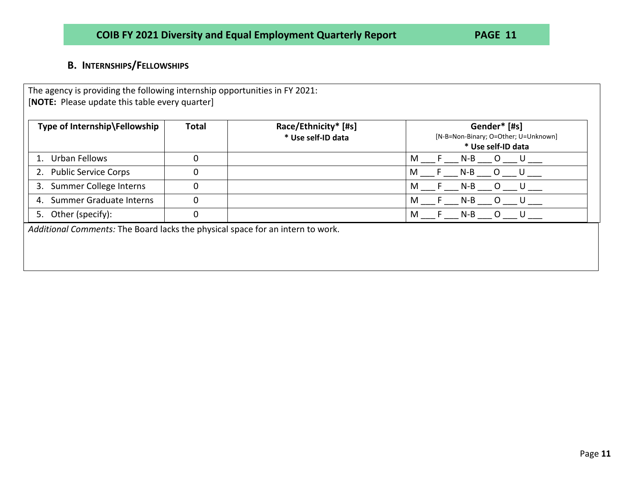# **B. INTERNSHIPS/FELLOWSHIPS**

| Type of Internship \Fellowship | <b>Total</b> | Race/Ethnicity* [#s] | Gender* [#s]                         |
|--------------------------------|--------------|----------------------|--------------------------------------|
|                                |              | * Use self-ID data   | [N-B=Non-Binary; O=Other; U=Unknown] |
|                                |              |                      | * Use self-ID data                   |
| 1. Urban Fellows               |              |                      | $N-B$ $O$ $U$<br>M                   |
| 2. Public Service Corps        |              |                      | $N-B$ O U<br>M<br>F.                 |
| 3. Summer College Interns      |              |                      | F N-B O U<br>M                       |
| 4. Summer Graduate Interns     |              |                      | N-B O U<br>M<br><b>F</b>             |
| 5. Other (specify):            |              |                      | N-B O U<br>M                         |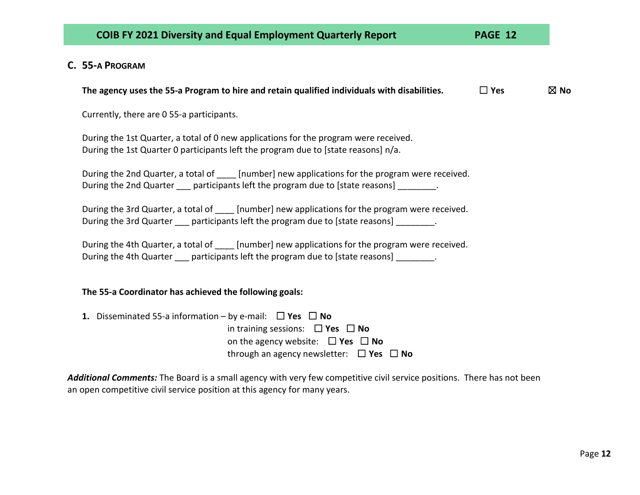## **C. 55-A PROGRAM**

| The agency uses the 55-a Program to hire and retain qualified individuals with disabilities.                                                                                                                                 | $\Box$ Yes | $\boxtimes$ No |
|------------------------------------------------------------------------------------------------------------------------------------------------------------------------------------------------------------------------------|------------|----------------|
| Currently, there are 055-a participants.                                                                                                                                                                                     |            |                |
| During the 1st Quarter, a total of 0 new applications for the program were received.<br>During the 1st Quarter 0 participants left the program due to [state reasons] n/a.                                                   |            |                |
| During the 2nd Quarter, a total of [number] new applications for the program were received.<br>During the 2nd Quarter ___ participants left the program due to [state reasons] ________.                                     |            |                |
| During the 3rd Quarter, a total of ______ [number] new applications for the program were received.<br>During the 3rd Quarter <i>inaurence participants left the program due to [state reasons] ________</i> .                |            |                |
| During the 4th Quarter, a total of [number] new applications for the program were received.<br>During the 4th Quarter ___ participants left the program due to [state reasons] ________.                                     |            |                |
| The 55-a Coordinator has achieved the following goals:                                                                                                                                                                       |            |                |
| <b>1.</b> Disseminated 55-a information – by e-mail: $\Box$ Yes $\Box$ No<br>in training sessions: $\Box$ Yes $\Box$ No<br>on the agency website: $\Box$ Yes $\Box$ No<br>through an agency newsletter: $\Box$ Yes $\Box$ No |            |                |

*Additional Comments:* The Board is a small agency with very few competitive civil service positions. There has not been an open competitive civil service position at this agency for many years.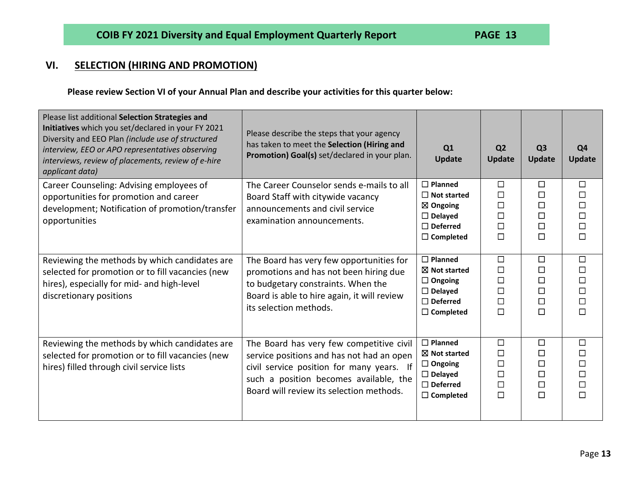# **VI. SELECTION (HIRING AND PROMOTION)**

**Please review Section VI of your Annual Plan and describe your activities for this quarter below:**

| Please list additional Selection Strategies and<br>Initiatives which you set/declared in your FY 2021<br>Diversity and EEO Plan (include use of structured<br>interview, EEO or APO representatives observing<br>interviews, review of placements, review of e-hire<br>applicant data) | Please describe the steps that your agency<br>has taken to meet the Selection (Hiring and<br>Promotion) Goal(s) set/declared in your plan.                                                                               | Q1<br><b>Update</b>                                                                                                  | Q <sub>2</sub><br><b>Update</b>                     | Q <sub>3</sub><br><b>Update</b>                     | Q4<br><b>Update</b>                                 |
|----------------------------------------------------------------------------------------------------------------------------------------------------------------------------------------------------------------------------------------------------------------------------------------|--------------------------------------------------------------------------------------------------------------------------------------------------------------------------------------------------------------------------|----------------------------------------------------------------------------------------------------------------------|-----------------------------------------------------|-----------------------------------------------------|-----------------------------------------------------|
| Career Counseling: Advising employees of<br>opportunities for promotion and career<br>development; Notification of promotion/transfer<br>opportunities                                                                                                                                 | The Career Counselor sends e-mails to all<br>Board Staff with citywide vacancy<br>announcements and civil service<br>examination announcements.                                                                          | $\Box$ Planned<br>$\Box$ Not started<br>$\boxtimes$ Ongoing<br>$\Box$ Delayed<br>$\Box$ Deferred<br>$\Box$ Completed | $\Box$<br>□<br>$\Box$<br>$\Box$<br>$\Box$<br>П      | $\Box$<br>□<br>$\Box$<br>$\Box$<br>$\Box$<br>□      | □<br>□<br>$\Box$<br>$\Box$<br>$\Box$<br>□           |
| Reviewing the methods by which candidates are<br>selected for promotion or to fill vacancies (new<br>hires), especially for mid- and high-level<br>discretionary positions                                                                                                             | The Board has very few opportunities for<br>promotions and has not been hiring due<br>to budgetary constraints. When the<br>Board is able to hire again, it will review<br>its selection methods.                        | $\Box$ Planned<br>$\boxtimes$ Not started<br>$\Box$ Ongoing<br>$\Box$ Delayed<br>$\Box$ Deferred<br>$\Box$ Completed | $\Box$<br>$\Box$<br>□<br>□<br>$\Box$<br>П           | $\Box$<br>$\Box$<br>□<br>$\Box$<br>$\Box$<br>$\Box$ | □<br>$\Box$<br>$\Box$<br>$\Box$<br>$\Box$<br>$\Box$ |
| Reviewing the methods by which candidates are<br>selected for promotion or to fill vacancies (new<br>hires) filled through civil service lists                                                                                                                                         | The Board has very few competitive civil<br>service positions and has not had an open<br>civil service position for many years. If<br>such a position becomes available, the<br>Board will review its selection methods. | $\Box$ Planned<br>$\boxtimes$ Not started<br>$\Box$ Ongoing<br>$\Box$ Delayed<br>$\Box$ Deferred<br>$\Box$ Completed | □<br>$\Box$<br>$\Box$<br>$\Box$<br>$\Box$<br>$\Box$ | $\Box$<br>$\Box$<br>$\Box$<br>$\Box$<br>□<br>$\Box$ | □<br>$\Box$<br>$\Box$<br>$\Box$<br>$\Box$<br>П      |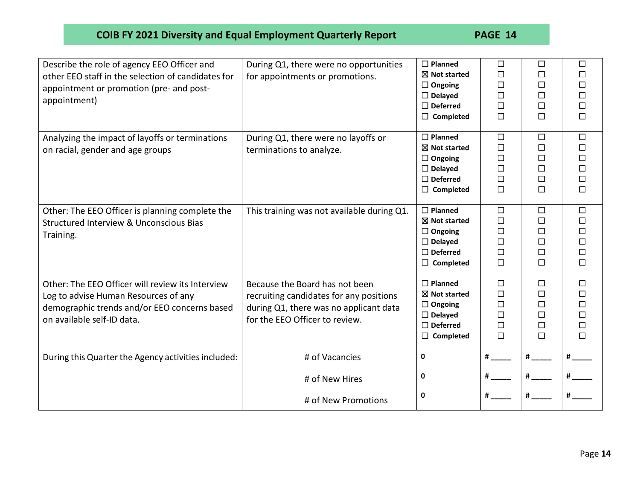# **COIB FY 2021 Diversity and Equal Employment Quarterly Report PAGE 14**

| Describe the role of agency EEO Officer and<br>other EEO staff in the selection of candidates for<br>appointment or promotion (pre- and post-<br>appointment)          | During Q1, there were no opportunities<br>for appointments or promotions.                                                                             | $\Box$ Planned<br>$\boxtimes$ Not started<br>$\Box$ Ongoing<br>$\Box$ Delayed<br>$\Box$ Deferred<br>$\Box$ Completed | $\Box$<br>$\Box$<br>$\Box$<br>$\Box$<br>$\Box$<br>$\Box$ | $\Box$<br>П<br>□<br>□<br>□<br>П                     | $\Box$<br>$\Box$<br>$\Box$<br>$\Box$<br>$\Box$<br>$\Box$ |
|------------------------------------------------------------------------------------------------------------------------------------------------------------------------|-------------------------------------------------------------------------------------------------------------------------------------------------------|----------------------------------------------------------------------------------------------------------------------|----------------------------------------------------------|-----------------------------------------------------|----------------------------------------------------------|
| Analyzing the impact of layoffs or terminations<br>on racial, gender and age groups                                                                                    | During Q1, there were no layoffs or<br>terminations to analyze.                                                                                       | $\Box$ Planned<br>$\boxtimes$ Not started<br>$\Box$ Ongoing<br>$\Box$ Delayed<br>$\Box$ Deferred<br>$\Box$ Completed | $\Box$<br>□<br>$\Box$<br>□<br>□<br>$\Box$                | $\Box$<br>$\Box$<br>$\Box$<br>□<br>$\Box$<br>$\Box$ | $\Box$<br>$\Box$<br>$\Box$<br>$\Box$<br>$\Box$<br>$\Box$ |
| Other: The EEO Officer is planning complete the<br>Structured Interview & Unconscious Bias<br>Training.                                                                | This training was not available during Q1.                                                                                                            | $\Box$ Planned<br>$\boxtimes$ Not started<br>$\Box$ Ongoing<br>$\Box$ Delayed<br>$\Box$ Deferred<br>$\Box$ Completed | $\Box$<br>$\Box$<br>$\Box$<br>□<br>□<br>$\Box$           | □<br>$\Box$<br>$\Box$<br>$\Box$<br>$\Box$<br>$\Box$ | $\Box$<br>$\Box$<br>$\Box$<br>$\Box$<br>$\Box$<br>$\Box$ |
| Other: The EEO Officer will review its Interview<br>Log to advise Human Resources of any<br>demographic trends and/or EEO concerns based<br>on available self-ID data. | Because the Board has not been<br>recruiting candidates for any positions<br>during Q1, there was no applicant data<br>for the EEO Officer to review. | $\Box$ Planned<br>$\boxtimes$ Not started<br>$\Box$ Ongoing<br>$\Box$ Delayed<br>$\Box$ Deferred<br>$\Box$ Completed | $\Box$<br>$\Box$<br>□<br>$\Box$<br>$\Box$<br>$\Box$      | $\Box$<br>□<br>П<br>□<br>$\Box$<br>$\Box$           | $\Box$<br>$\Box$<br>$\Box$<br>$\Box$<br>$\Box$<br>$\Box$ |
| During this Quarter the Agency activities included:                                                                                                                    | # of Vacancies                                                                                                                                        | $\mathbf 0$                                                                                                          | $\#$                                                     | #                                                   | $\#$                                                     |
|                                                                                                                                                                        | # of New Hires                                                                                                                                        | 0                                                                                                                    |                                                          |                                                     | #                                                        |
|                                                                                                                                                                        | # of New Promotions                                                                                                                                   | 0                                                                                                                    |                                                          | #                                                   | #                                                        |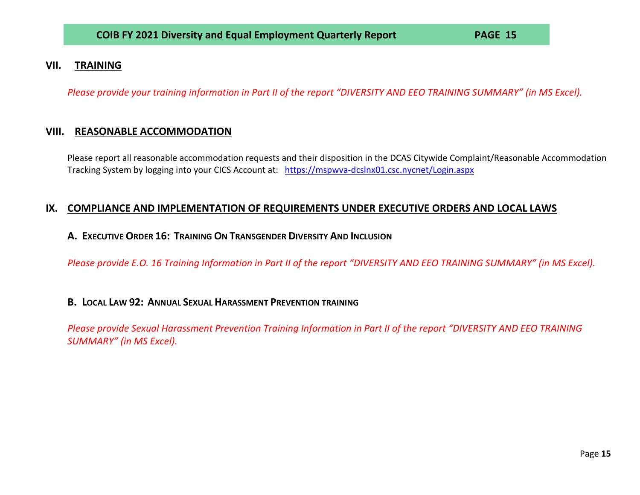#### **VII. TRAINING**

*Please provide your training information in Part II of the report "DIVERSITY AND EEO TRAINING SUMMARY" (in MS Excel).*

#### **VIII. REASONABLE ACCOMMODATION**

Please report all reasonable accommodation requests and their disposition in the DCAS Citywide Complaint/Reasonable Accommodation Tracking System by logging into your CICS Account at: <https://mspwva-dcslnx01.csc.nycnet/Login.aspx>

#### **IX. COMPLIANCE AND IMPLEMENTATION OF REQUIREMENTS UNDER EXECUTIVE ORDERS AND LOCAL LAWS**

#### **A. EXECUTIVE ORDER 16: TRAINING ON TRANSGENDER DIVERSITY AND INCLUSION**

*Please provide E.O. 16 Training Information in Part II of the report "DIVERSITY AND EEO TRAINING SUMMARY" (in MS Excel).*

#### **B. LOCAL LAW 92: ANNUAL SEXUAL HARASSMENT PREVENTION TRAINING**

*Please provide Sexual Harassment Prevention Training Information in Part II of the report "DIVERSITY AND EEO TRAINING SUMMARY" (in MS Excel).*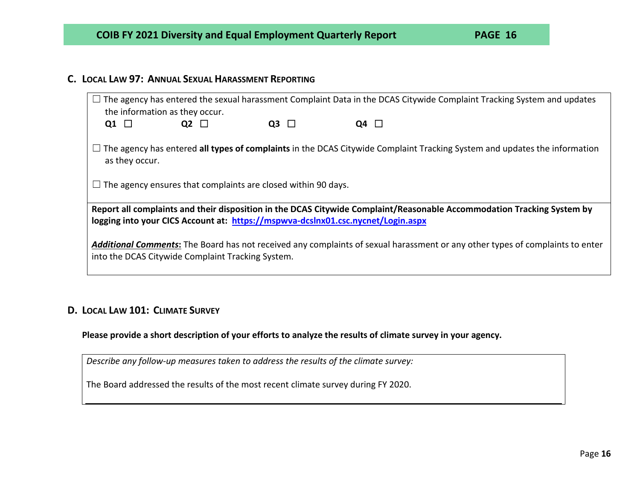# **C. LOCAL LAW 97: ANNUAL SEXUAL HARASSMENT REPORTING**

| the information as they occur.                                                                                                                     |                                                   |                                                                                  | $\Box$ The agency has entered the sexual harassment Complaint Data in the DCAS Citywide Complaint Tracking System and updates |  |  |  |  |
|----------------------------------------------------------------------------------------------------------------------------------------------------|---------------------------------------------------|----------------------------------------------------------------------------------|-------------------------------------------------------------------------------------------------------------------------------|--|--|--|--|
| Q1 $\Box$                                                                                                                                          | Q2 $\Box$                                         | Q3 $\Box$                                                                        | Q4 $\Box$                                                                                                                     |  |  |  |  |
| $\Box$ The agency has entered all types of complaints in the DCAS Citywide Complaint Tracking System and updates the information<br>as they occur. |                                                   |                                                                                  |                                                                                                                               |  |  |  |  |
|                                                                                                                                                    |                                                   | $\Box$ The agency ensures that complaints are closed within 90 days.             |                                                                                                                               |  |  |  |  |
|                                                                                                                                                    |                                                   | logging into your CICS Account at: https://mspwya-dcslnx01.csc.nycnet/Login.aspx | Report all complaints and their disposition in the DCAS Citywide Complaint/Reasonable Accommodation Tracking System by        |  |  |  |  |
|                                                                                                                                                    | into the DCAS Citywide Complaint Tracking System. |                                                                                  | Additional Comments: The Board has not received any complaints of sexual harassment or any other types of complaints to enter |  |  |  |  |

### **D. LOCAL LAW 101: CLIMATE SURVEY**

**Please provide a short description of your efforts to analyze the results of climate survey in your agency.**

*Describe any follow-up measures taken to address the results of the climate survey:*

The Board addressed the results of the most recent climate survey during FY 2020.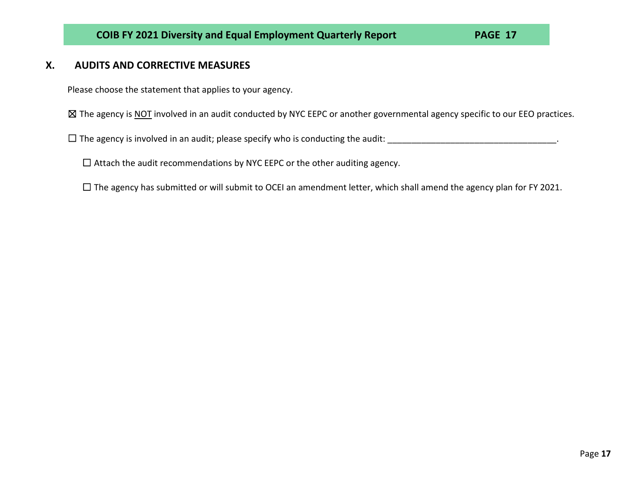## **X. AUDITS AND CORRECTIVE MEASURES**

Please choose the statement that applies to your agency.

☒ The agency is NOT involved in an audit conducted by NYC EEPC or another governmental agency specific to our EEO practices.

 $\Box$  The agency is involved in an audit; please specify who is conducting the audit:

 $\Box$  Attach the audit recommendations by NYC EEPC or the other auditing agency.

☐ The agency has submitted or will submit to OCEI an amendment letter, which shall amend the agency plan for FY 2021.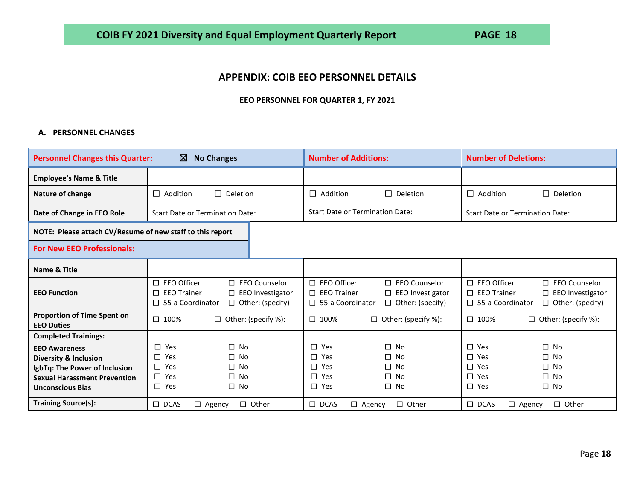## **APPENDIX: COIB EEO PERSONNEL DETAILS**

#### **EEO PERSONNEL FOR QUARTER 1, FY 2021**

#### **A. PERSONNEL CHANGES**

| ⊠<br><b>No Changes</b><br><b>Personnel Changes this Quarter:</b>                                                                                            |                                                                                                                                                             | <b>Number of Additions:</b> |                                                                       | <b>Number of Deletions:</b>                                                      |                                                                     |                                                                            |  |
|-------------------------------------------------------------------------------------------------------------------------------------------------------------|-------------------------------------------------------------------------------------------------------------------------------------------------------------|-----------------------------|-----------------------------------------------------------------------|----------------------------------------------------------------------------------|---------------------------------------------------------------------|----------------------------------------------------------------------------|--|
| <b>Employee's Name &amp; Title</b>                                                                                                                          |                                                                                                                                                             |                             |                                                                       |                                                                                  |                                                                     |                                                                            |  |
| Nature of change                                                                                                                                            | $\Box$ Addition<br>$\Box$ Deletion                                                                                                                          |                             | $\Box$ Addition                                                       | $\Box$ Deletion                                                                  | $\Box$ Addition                                                     | $\Box$ Deletion                                                            |  |
| Date of Change in EEO Role                                                                                                                                  | <b>Start Date or Termination Date:</b>                                                                                                                      |                             | <b>Start Date or Termination Date:</b>                                |                                                                                  |                                                                     | <b>Start Date or Termination Date:</b>                                     |  |
| NOTE: Please attach CV/Resume of new staff to this report                                                                                                   |                                                                                                                                                             |                             |                                                                       |                                                                                  |                                                                     |                                                                            |  |
| <b>For New EEO Professionals:</b>                                                                                                                           |                                                                                                                                                             |                             |                                                                       |                                                                                  |                                                                     |                                                                            |  |
| Name & Title                                                                                                                                                |                                                                                                                                                             |                             |                                                                       |                                                                                  |                                                                     |                                                                            |  |
| <b>EEO Function</b>                                                                                                                                         | $\Box$ EEO Officer<br><b>EEO Counselor</b><br>$\Box$<br>$\Box$ EEO Trainer<br>$\Box$ EEO Investigator<br>$\Box$ 55-a Coordinator<br>$\Box$ Other: (specify) |                             | $\Box$ EEO Officer<br>$\Box$ EEO Trainer<br>$\Box$ 55-a Coordinator   | $\Box$ EEO Counselor<br>$\Box$ EEO Investigator<br>$\Box$ Other: (specify)       | $\Box$ EEO Officer<br>$\Box$ EEO Trainer<br>$\Box$ 55-a Coordinator | $\Box$ EEO Counselor<br>$\Box$ EEO Investigator<br>$\Box$ Other: (specify) |  |
| <b>Proportion of Time Spent on</b><br><b>EEO Duties</b>                                                                                                     | $\Box$ Other: (specify %):<br>$\Box$ 100%                                                                                                                   |                             | $\Box$ 100%                                                           | $\Box$ Other: (specify %):                                                       | $\Box$ 100%                                                         | $\Box$ Other: (specify %):                                                 |  |
| <b>Completed Trainings:</b>                                                                                                                                 |                                                                                                                                                             |                             |                                                                       |                                                                                  |                                                                     |                                                                            |  |
| <b>EEO Awareness</b><br><b>Diversity &amp; Inclusion</b><br>IgbTq: The Power of Inclusion<br><b>Sexual Harassment Prevention</b><br><b>Unconscious Bias</b> | Yes<br>п<br><b>No</b><br>П<br>$\Box$ Yes<br>П<br><b>No</b><br>□<br>$\Box$ Yes<br><b>No</b><br>$\Box$ Yes<br>п<br>No<br>□<br>$\square$ Yes<br>No             |                             | $\Box$ Yes<br>$\Box$ Yes<br>$\Box$<br>Yes<br>$\Box$ Yes<br>$\Box$ Yes | <b>No</b><br>$\Box$<br>□<br>No<br>□<br><b>No</b><br>$\Box$<br>No<br>$\Box$<br>No | $\Box$ Yes<br>$\Box$ Yes<br>$\Box$ Yes<br>$\Box$ Yes<br>$\Box$ Yes  | $\square$ No<br>$\Box$ No<br>$\Box$ No<br>$\Box$ No<br>$\Box$ No           |  |
| <b>Training Source(s):</b>                                                                                                                                  | $\Box$ Other<br>$\Box$ DCAS<br>□ Agency                                                                                                                     |                             | $\square$ DCAS<br>$\Box$ Agency                                       | $\Box$ Other                                                                     | $\Box$ DCAS<br>□ Agency                                             | $\Box$ Other                                                               |  |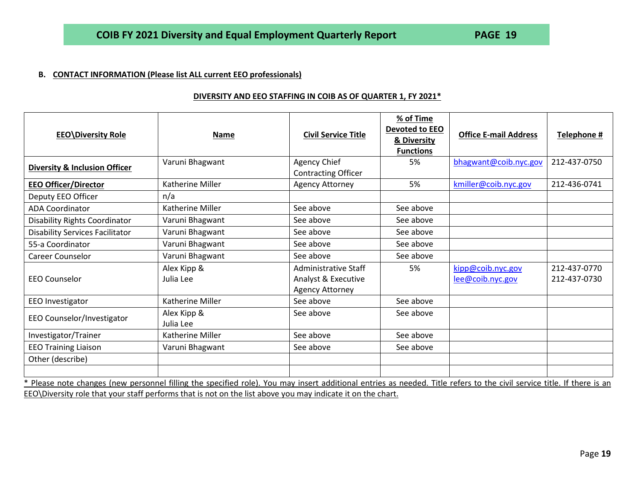#### **B. CONTACT INFORMATION (Please list ALL current EEO professionals)**

#### **DIVERSITY AND EEO STAFFING IN COIB AS OF QUARTER 1, FY 2021\***

| <b>EEO\Diversity Role</b>                                                                                                                                              | <b>Name</b>              | <b>Civil Service Title</b>                                            | % of Time<br>Devoted to EEO<br>& Diversity<br><b>Functions</b> | <b>Office E-mail Address</b>          | Telephone #                  |  |  |  |  |
|------------------------------------------------------------------------------------------------------------------------------------------------------------------------|--------------------------|-----------------------------------------------------------------------|----------------------------------------------------------------|---------------------------------------|------------------------------|--|--|--|--|
| <b>Diversity &amp; Inclusion Officer</b>                                                                                                                               | Varuni Bhagwant          | <b>Agency Chief</b><br><b>Contracting Officer</b>                     | 5%                                                             | bhagwant@coib.nyc.gov                 | 212-437-0750                 |  |  |  |  |
| <b>EEO Officer/Director</b>                                                                                                                                            | Katherine Miller         | <b>Agency Attorney</b>                                                | 5%                                                             | kmiller@coib.nyc.gov                  | 212-436-0741                 |  |  |  |  |
| Deputy EEO Officer                                                                                                                                                     | n/a                      |                                                                       |                                                                |                                       |                              |  |  |  |  |
| <b>ADA Coordinator</b>                                                                                                                                                 | Katherine Miller         | See above                                                             | See above                                                      |                                       |                              |  |  |  |  |
| <b>Disability Rights Coordinator</b>                                                                                                                                   | Varuni Bhagwant          | See above                                                             | See above                                                      |                                       |                              |  |  |  |  |
| <b>Disability Services Facilitator</b>                                                                                                                                 | Varuni Bhagwant          | See above                                                             | See above                                                      |                                       |                              |  |  |  |  |
| 55-a Coordinator                                                                                                                                                       | Varuni Bhagwant          | See above                                                             | See above                                                      |                                       |                              |  |  |  |  |
| Career Counselor                                                                                                                                                       | Varuni Bhagwant          | See above                                                             | See above                                                      |                                       |                              |  |  |  |  |
| <b>EEO Counselor</b>                                                                                                                                                   | Alex Kipp &<br>Julia Lee | Administrative Staff<br>Analyst & Executive<br><b>Agency Attorney</b> | 5%                                                             | kipp@coib.nyc.gov<br>lee@coib.nyc.gov | 212-437-0770<br>212-437-0730 |  |  |  |  |
| EEO Investigator                                                                                                                                                       | Katherine Miller         | See above                                                             | See above                                                      |                                       |                              |  |  |  |  |
| EEO Counselor/Investigator                                                                                                                                             | Alex Kipp &<br>Julia Lee | See above                                                             | See above                                                      |                                       |                              |  |  |  |  |
| Investigator/Trainer                                                                                                                                                   | Katherine Miller         | See above                                                             | See above                                                      |                                       |                              |  |  |  |  |
| <b>EEO Training Liaison</b>                                                                                                                                            | Varuni Bhagwant          | See above                                                             | See above                                                      |                                       |                              |  |  |  |  |
| Other (describe)                                                                                                                                                       |                          |                                                                       |                                                                |                                       |                              |  |  |  |  |
|                                                                                                                                                                        |                          |                                                                       |                                                                |                                       |                              |  |  |  |  |
| * Please note changes (new personnel filling the specified role). You may insert additional entries as needed. Title refers to the civil service title. If there is an |                          |                                                                       |                                                                |                                       |                              |  |  |  |  |

EEO\Diversity role that your staff performs that is not on the list above you may indicate it on the chart.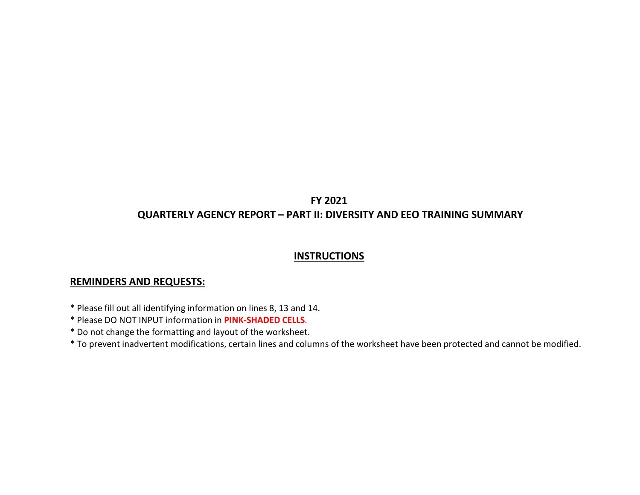# **FY 2021 QUARTERLY AGENCY REPORT – PART II: DIVERSITY AND EEO TRAINING SUMMARY**

## **INSTRUCTIONS**

#### **REMINDERS AND REQUESTS:**

- \* Please fill out all identifying information on lines 8, 13 and 14.
- \* Please DO NOT INPUT information in **PINK-SHADED CELLS**.
- \* Do not change the formatting and layout of the worksheet.
- \* To prevent inadvertent modifications, certain lines and columns of the worksheet have been protected and cannot be modified.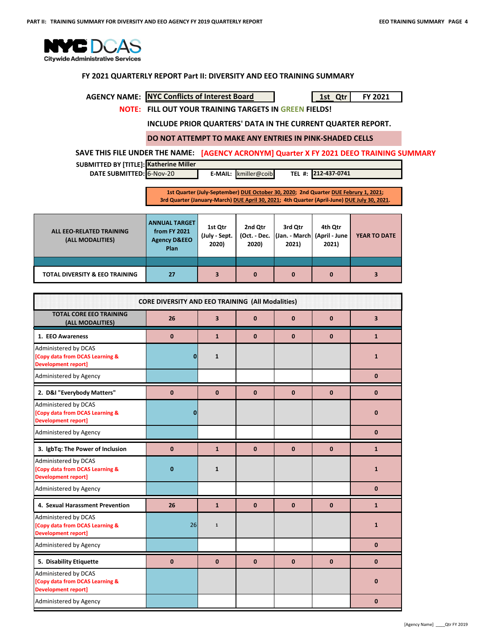

### **FY 2021 QUARTERLY REPORT Part II: DIVERSITY AND EEO TRAINING SUMMARY**

AGENCY NAME: NYC Conflicts of Interest Board **1st Qtr** PY 2021

**NOTE: FILL OUT YOUR TRAINING TARGETS IN GREEN FIELDS!**

**INCLUDE PRIOR QUARTERS' DATA IN THE CURRENT QUARTER REPORT.**

**DO NOT ATTEMPT TO MAKE ANY ENTRIES IN PINK-SHADED CELLS**

# SAVE THIS FILE UNDER THE NAME: [AGENCY ACRONYM] Quarter X FY 2021 DEEO TRAINING SUMMARY

**SUBMITTED BY [TITLE]: Katherine Miller DATE SUBMITTED:** 6-Nov-20 **E-MAIL:** kmiller@coib **212-437-0741**

> **1st Quarter (July-September) DUE October 30, 2020; 2nd Quarter DUE Februry 1, 2021; 3rd Quarter (January-March) DUE April 30, 2021; 4th Quarter (April-June) DUE July 30, 2021.**

| <b>ALL EEO-RELATED TRAINING</b><br>(ALL MODALITIES) | <b>ANNUAL TARGET</b><br>from FY 2021<br><b>Agency D&amp;EEO</b><br>Plan | 1st Qtr<br>(July - Sept.<br>2020) | 2nd Qtr<br>(Oct. - Dec.<br>2020) | 3rd Qtr<br>  (Jan. - March   (April - June<br>2021) | 4th Qtr<br>2021) | YEAR TO DATE |
|-----------------------------------------------------|-------------------------------------------------------------------------|-----------------------------------|----------------------------------|-----------------------------------------------------|------------------|--------------|
|                                                     |                                                                         |                                   |                                  |                                                     |                  |              |
| <b>TOTAL DIVERSITY &amp; EEO TRAINING</b>           | 27                                                                      | 3                                 | 0                                | $\bf{0}$                                            | $\bf{0}$         | 3            |

| <b>CORE DIVERSITY AND EEO TRAINING (All Modalities)</b>                               |              |              |              |              |             |                         |  |
|---------------------------------------------------------------------------------------|--------------|--------------|--------------|--------------|-------------|-------------------------|--|
| <b>TOTAL CORE EEO TRAINING</b><br>(ALL MODALITIES)                                    | 26           | 3            | $\mathbf 0$  | $\mathbf 0$  | $\mathbf 0$ | $\overline{\mathbf{3}}$ |  |
| 1. EEO Awareness                                                                      | $\mathbf 0$  | $\mathbf{1}$ | $\mathbf 0$  | $\mathbf 0$  | $\bf{0}$    | $\mathbf{1}$            |  |
| Administered by DCAS<br>[Copy data from DCAS Learning &<br><b>Development report]</b> | $\bf{0}$     | $\mathbf{1}$ |              |              |             | $\mathbf{1}$            |  |
| Administered by Agency                                                                |              |              |              |              |             | $\mathbf 0$             |  |
| 2. D&I "Everybody Matters"                                                            | $\mathbf 0$  | $\mathbf 0$  | $\mathbf 0$  | $\mathbf 0$  | $\mathbf 0$ | $\mathbf 0$             |  |
| Administered by DCAS<br>[Copy data from DCAS Learning &<br><b>Development report]</b> | 0            |              |              |              |             | $\mathbf 0$             |  |
| Administered by Agency                                                                |              |              |              |              |             | $\mathbf 0$             |  |
| 3. IgbTq: The Power of Inclusion                                                      | $\mathbf 0$  | $\mathbf{1}$ | $\mathbf{0}$ | $\bf{0}$     | $\mathbf 0$ | $\mathbf{1}$            |  |
| Administered by DCAS<br>[Copy data from DCAS Learning &<br><b>Development report]</b> | $\mathbf{0}$ | $\mathbf{1}$ |              |              |             | $\mathbf{1}$            |  |
| Administered by Agency                                                                |              |              |              |              |             | $\mathbf 0$             |  |
| 4. Sexual Harassment Prevention                                                       | 26           | $\mathbf{1}$ | $\mathbf{0}$ | $\mathbf 0$  | $\mathbf 0$ | $\mathbf{1}$            |  |
| Administered by DCAS<br>[Copy data from DCAS Learning &<br><b>Development report]</b> | 26           | $\mathbf{1}$ |              |              |             | $\mathbf{1}$            |  |
| Administered by Agency                                                                |              |              |              |              |             | $\mathbf 0$             |  |
| 5. Disability Etiquette                                                               | $\pmb{0}$    | $\mathbf 0$  | $\mathbf 0$  | $\mathbf{0}$ | $\mathbf 0$ | $\mathbf 0$             |  |
| Administered by DCAS<br>[Copy data from DCAS Learning &<br><b>Development report]</b> |              |              |              |              |             | $\mathbf{0}$            |  |
| Administered by Agency                                                                |              |              |              |              |             | $\mathbf 0$             |  |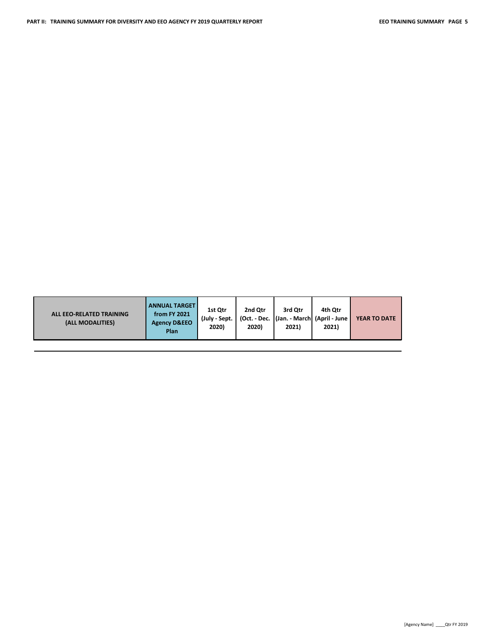|--|